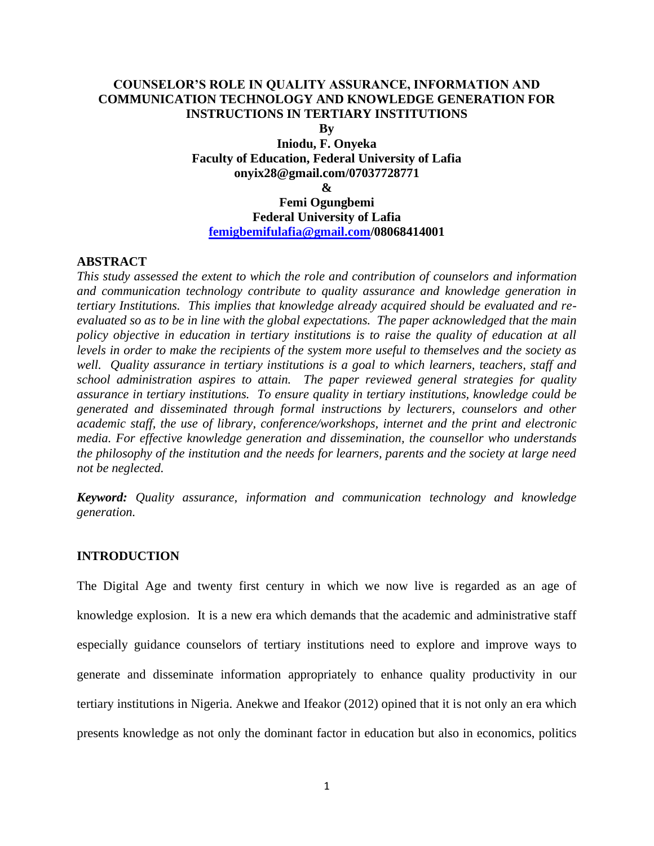# **COUNSELOR'S ROLE IN QUALITY ASSURANCE, INFORMATION AND COMMUNICATION TECHNOLOGY AND KNOWLEDGE GENERATION FOR INSTRUCTIONS IN TERTIARY INSTITUTIONS**

**By**

**Iniodu, F. Onyeka Faculty of Education, Federal University of Lafia onyix28@gmail.com/07037728771 &**

**Femi Ogungbemi Federal University of Lafia [femigbemifulafia@gmail.com/](mailto:femigbemifulafia@gmail.com)08068414001** 

# **ABSTRACT**

*This study assessed the extent to which the role and contribution of counselors and information and communication technology contribute to quality assurance and knowledge generation in tertiary Institutions. This implies that knowledge already acquired should be evaluated and reevaluated so as to be in line with the global expectations. The paper acknowledged that the main policy objective in education in tertiary institutions is to raise the quality of education at all levels in order to make the recipients of the system more useful to themselves and the society as well. Quality assurance in tertiary institutions is a goal to which learners, teachers, staff and school administration aspires to attain. The paper reviewed general strategies for quality assurance in tertiary institutions. To ensure quality in tertiary institutions, knowledge could be generated and disseminated through formal instructions by lecturers, counselors and other academic staff, the use of library, conference/workshops, internet and the print and electronic media. For effective knowledge generation and dissemination, the counsellor who understands the philosophy of the institution and the needs for learners, parents and the society at large need not be neglected.*

*Keyword: Quality assurance, information and communication technology and knowledge generation.*

# **INTRODUCTION**

The Digital Age and twenty first century in which we now live is regarded as an age of knowledge explosion. It is a new era which demands that the academic and administrative staff especially guidance counselors of tertiary institutions need to explore and improve ways to generate and disseminate information appropriately to enhance quality productivity in our tertiary institutions in Nigeria. Anekwe and Ifeakor (2012) opined that it is not only an era which presents knowledge as not only the dominant factor in education but also in economics, politics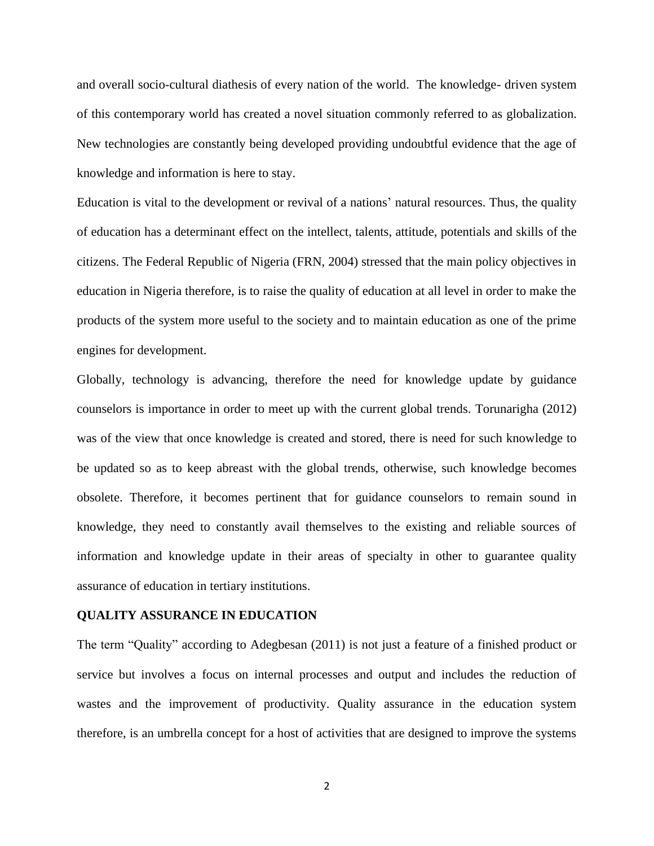and overall socio-cultural diathesis of every nation of the world. The knowledge- driven system of this contemporary world has created a novel situation commonly referred to as globalization. New technologies are constantly being developed providing undoubtful evidence that the age of knowledge and information is here to stay.

Education is vital to the development or revival of a nations' natural resources. Thus, the quality of education has a determinant effect on the intellect, talents, attitude, potentials and skills of the citizens. The Federal Republic of Nigeria (FRN, 2004) stressed that the main policy objectives in education in Nigeria therefore, is to raise the quality of education at all level in order to make the products of the system more useful to the society and to maintain education as one of the prime engines for development.

Globally, technology is advancing, therefore the need for knowledge update by guidance counselors is importance in order to meet up with the current global trends. Torunarigha (2012) was of the view that once knowledge is created and stored, there is need for such knowledge to be updated so as to keep abreast with the global trends, otherwise, such knowledge becomes obsolete. Therefore, it becomes pertinent that for guidance counselors to remain sound in knowledge, they need to constantly avail themselves to the existing and reliable sources of information and knowledge update in their areas of specialty in other to guarantee quality assurance of education in tertiary institutions.

#### **QUALITY ASSURANCE IN EDUCATION**

The term "Quality" according to Adegbesan (2011) is not just a feature of a finished product or service but involves a focus on internal processes and output and includes the reduction of wastes and the improvement of productivity. Quality assurance in the education system therefore, is an umbrella concept for a host of activities that are designed to improve the systems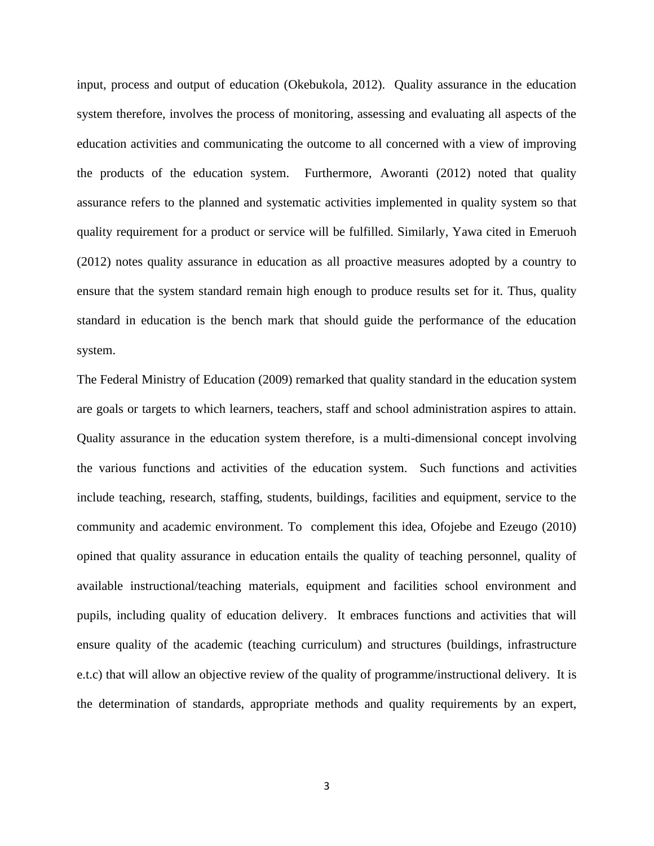input, process and output of education (Okebukola, 2012). Quality assurance in the education system therefore, involves the process of monitoring, assessing and evaluating all aspects of the education activities and communicating the outcome to all concerned with a view of improving the products of the education system. Furthermore, Aworanti (2012) noted that quality assurance refers to the planned and systematic activities implemented in quality system so that quality requirement for a product or service will be fulfilled. Similarly, Yawa cited in Emeruoh (2012) notes quality assurance in education as all proactive measures adopted by a country to ensure that the system standard remain high enough to produce results set for it. Thus, quality standard in education is the bench mark that should guide the performance of the education system.

The Federal Ministry of Education (2009) remarked that quality standard in the education system are goals or targets to which learners, teachers, staff and school administration aspires to attain. Quality assurance in the education system therefore, is a multi-dimensional concept involving the various functions and activities of the education system. Such functions and activities include teaching, research, staffing, students, buildings, facilities and equipment, service to the community and academic environment. To complement this idea, Ofojebe and Ezeugo (2010) opined that quality assurance in education entails the quality of teaching personnel, quality of available instructional/teaching materials, equipment and facilities school environment and pupils, including quality of education delivery. It embraces functions and activities that will ensure quality of the academic (teaching curriculum) and structures (buildings, infrastructure e.t.c) that will allow an objective review of the quality of programme/instructional delivery. It is the determination of standards, appropriate methods and quality requirements by an expert,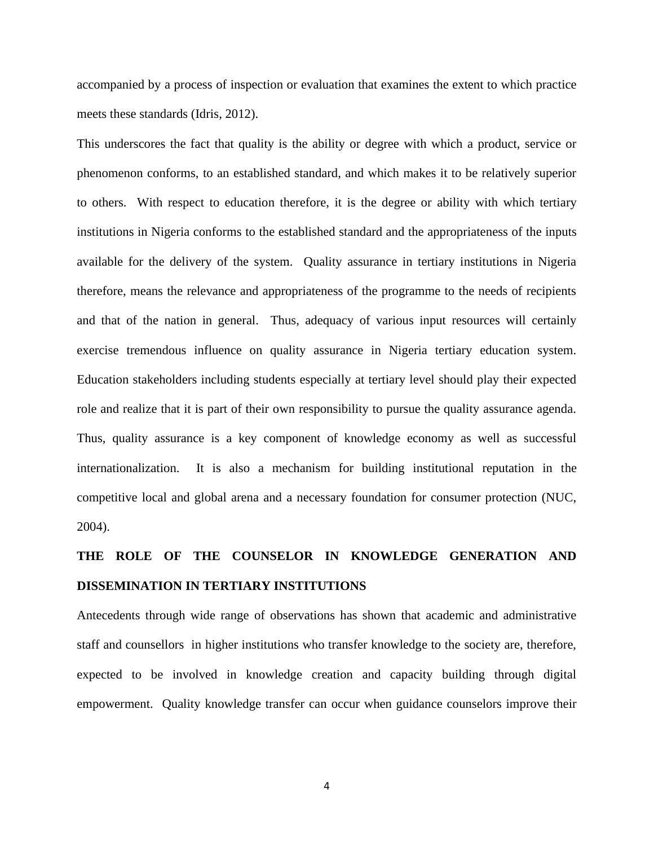accompanied by a process of inspection or evaluation that examines the extent to which practice meets these standards (Idris, 2012).

This underscores the fact that quality is the ability or degree with which a product, service or phenomenon conforms, to an established standard, and which makes it to be relatively superior to others. With respect to education therefore, it is the degree or ability with which tertiary institutions in Nigeria conforms to the established standard and the appropriateness of the inputs available for the delivery of the system. Quality assurance in tertiary institutions in Nigeria therefore, means the relevance and appropriateness of the programme to the needs of recipients and that of the nation in general. Thus, adequacy of various input resources will certainly exercise tremendous influence on quality assurance in Nigeria tertiary education system. Education stakeholders including students especially at tertiary level should play their expected role and realize that it is part of their own responsibility to pursue the quality assurance agenda. Thus, quality assurance is a key component of knowledge economy as well as successful internationalization. It is also a mechanism for building institutional reputation in the competitive local and global arena and a necessary foundation for consumer protection (NUC, 2004).

# **THE ROLE OF THE COUNSELOR IN KNOWLEDGE GENERATION AND DISSEMINATION IN TERTIARY INSTITUTIONS**

Antecedents through wide range of observations has shown that academic and administrative staff and counsellors in higher institutions who transfer knowledge to the society are, therefore, expected to be involved in knowledge creation and capacity building through digital empowerment. Quality knowledge transfer can occur when guidance counselors improve their

4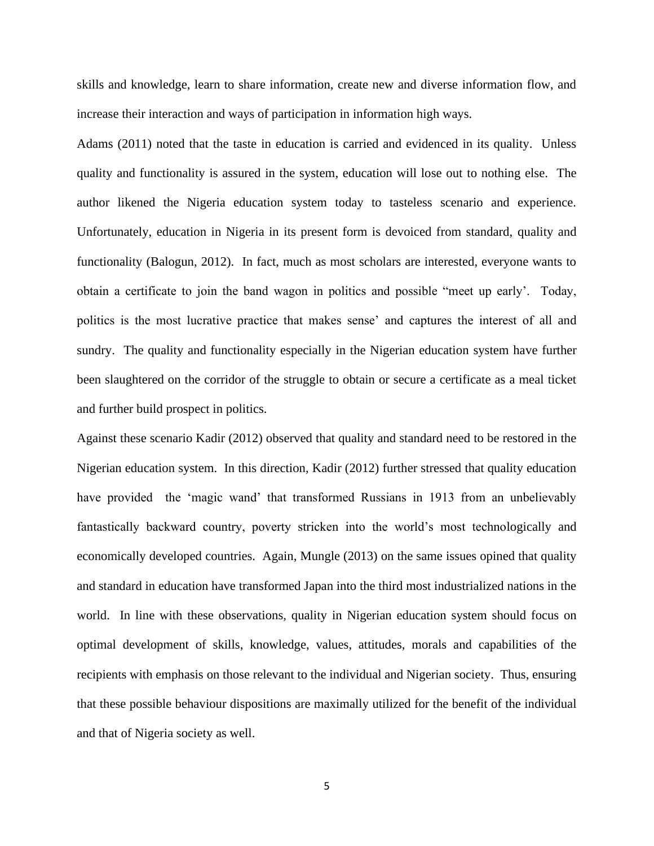skills and knowledge, learn to share information, create new and diverse information flow, and increase their interaction and ways of participation in information high ways.

Adams (2011) noted that the taste in education is carried and evidenced in its quality. Unless quality and functionality is assured in the system, education will lose out to nothing else. The author likened the Nigeria education system today to tasteless scenario and experience. Unfortunately, education in Nigeria in its present form is devoiced from standard, quality and functionality (Balogun, 2012). In fact, much as most scholars are interested, everyone wants to obtain a certificate to join the band wagon in politics and possible "meet up early'. Today, politics is the most lucrative practice that makes sense' and captures the interest of all and sundry. The quality and functionality especially in the Nigerian education system have further been slaughtered on the corridor of the struggle to obtain or secure a certificate as a meal ticket and further build prospect in politics.

Against these scenario Kadir (2012) observed that quality and standard need to be restored in the Nigerian education system. In this direction, Kadir (2012) further stressed that quality education have provided the 'magic wand' that transformed Russians in 1913 from an unbelievably fantastically backward country, poverty stricken into the world's most technologically and economically developed countries. Again, Mungle (2013) on the same issues opined that quality and standard in education have transformed Japan into the third most industrialized nations in the world. In line with these observations, quality in Nigerian education system should focus on optimal development of skills, knowledge, values, attitudes, morals and capabilities of the recipients with emphasis on those relevant to the individual and Nigerian society. Thus, ensuring that these possible behaviour dispositions are maximally utilized for the benefit of the individual and that of Nigeria society as well.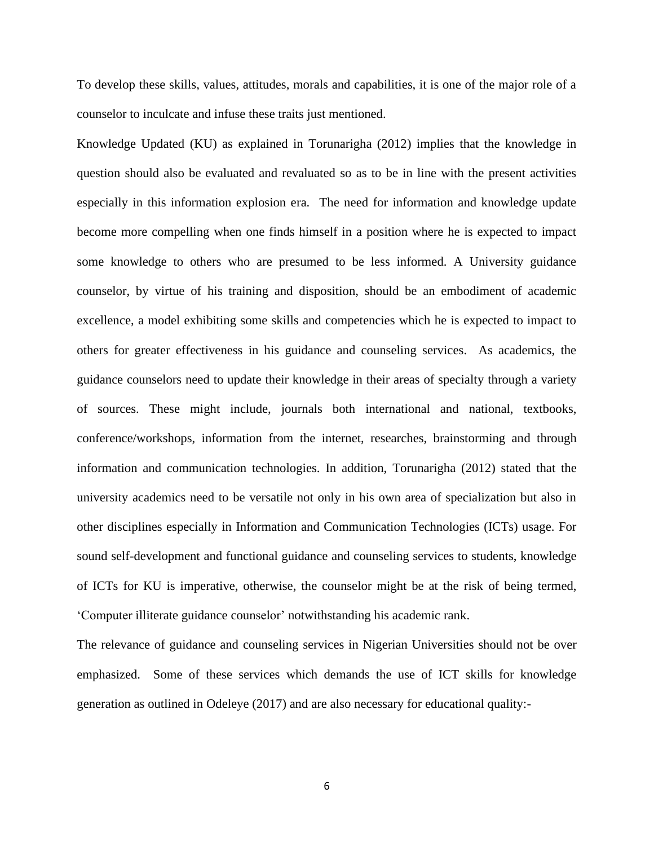To develop these skills, values, attitudes, morals and capabilities, it is one of the major role of a counselor to inculcate and infuse these traits just mentioned.

Knowledge Updated (KU) as explained in Torunarigha (2012) implies that the knowledge in question should also be evaluated and revaluated so as to be in line with the present activities especially in this information explosion era. The need for information and knowledge update become more compelling when one finds himself in a position where he is expected to impact some knowledge to others who are presumed to be less informed. A University guidance counselor, by virtue of his training and disposition, should be an embodiment of academic excellence, a model exhibiting some skills and competencies which he is expected to impact to others for greater effectiveness in his guidance and counseling services. As academics, the guidance counselors need to update their knowledge in their areas of specialty through a variety of sources. These might include, journals both international and national, textbooks, conference/workshops, information from the internet, researches, brainstorming and through information and communication technologies. In addition, Torunarigha (2012) stated that the university academics need to be versatile not only in his own area of specialization but also in other disciplines especially in Information and Communication Technologies (ICTs) usage. For sound self-development and functional guidance and counseling services to students, knowledge of ICTs for KU is imperative, otherwise, the counselor might be at the risk of being termed, 'Computer illiterate guidance counselor' notwithstanding his academic rank.

The relevance of guidance and counseling services in Nigerian Universities should not be over emphasized. Some of these services which demands the use of ICT skills for knowledge generation as outlined in Odeleye (2017) and are also necessary for educational quality:-

6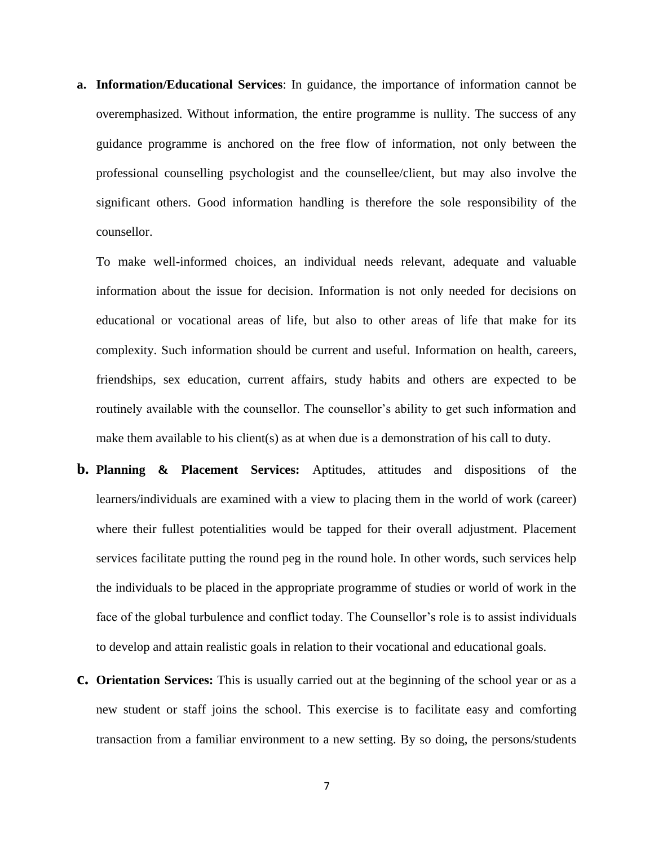**a. Information/Educational Services**: In guidance, the importance of information cannot be overemphasized. Without information, the entire programme is nullity. The success of any guidance programme is anchored on the free flow of information, not only between the professional counselling psychologist and the counsellee/client, but may also involve the significant others. Good information handling is therefore the sole responsibility of the counsellor.

To make well-informed choices, an individual needs relevant, adequate and valuable information about the issue for decision. Information is not only needed for decisions on educational or vocational areas of life, but also to other areas of life that make for its complexity. Such information should be current and useful. Information on health, careers, friendships, sex education, current affairs, study habits and others are expected to be routinely available with the counsellor. The counsellor's ability to get such information and make them available to his client(s) as at when due is a demonstration of his call to duty.

- **b. Planning & Placement Services:** Aptitudes, attitudes and dispositions of the learners/individuals are examined with a view to placing them in the world of work (career) where their fullest potentialities would be tapped for their overall adjustment. Placement services facilitate putting the round peg in the round hole. In other words, such services help the individuals to be placed in the appropriate programme of studies or world of work in the face of the global turbulence and conflict today. The Counsellor's role is to assist individuals to develop and attain realistic goals in relation to their vocational and educational goals.
- **c. Orientation Services:** This is usually carried out at the beginning of the school year or as a new student or staff joins the school. This exercise is to facilitate easy and comforting transaction from a familiar environment to a new setting. By so doing, the persons/students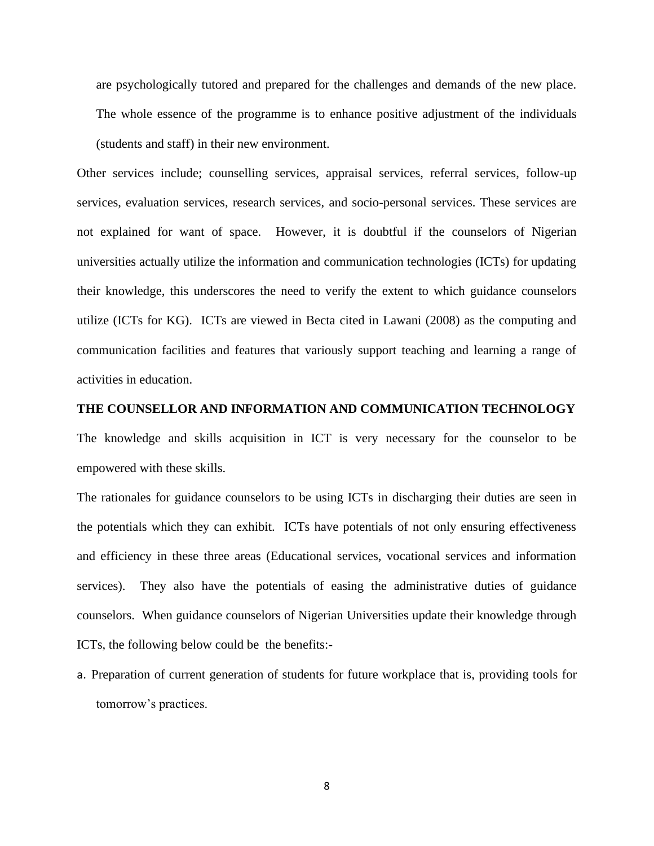are psychologically tutored and prepared for the challenges and demands of the new place. The whole essence of the programme is to enhance positive adjustment of the individuals (students and staff) in their new environment.

Other services include; counselling services, appraisal services, referral services, follow-up services, evaluation services, research services, and socio-personal services. These services are not explained for want of space. However, it is doubtful if the counselors of Nigerian universities actually utilize the information and communication technologies (ICTs) for updating their knowledge, this underscores the need to verify the extent to which guidance counselors utilize (ICTs for KG). ICTs are viewed in Becta cited in Lawani (2008) as the computing and communication facilities and features that variously support teaching and learning a range of activities in education.

#### **THE COUNSELLOR AND INFORMATION AND COMMUNICATION TECHNOLOGY**

The knowledge and skills acquisition in ICT is very necessary for the counselor to be empowered with these skills.

The rationales for guidance counselors to be using ICTs in discharging their duties are seen in the potentials which they can exhibit. ICTs have potentials of not only ensuring effectiveness and efficiency in these three areas (Educational services, vocational services and information services). They also have the potentials of easing the administrative duties of guidance counselors. When guidance counselors of Nigerian Universities update their knowledge through ICTs, the following below could be the benefits:-

a. Preparation of current generation of students for future workplace that is, providing tools for tomorrow's practices.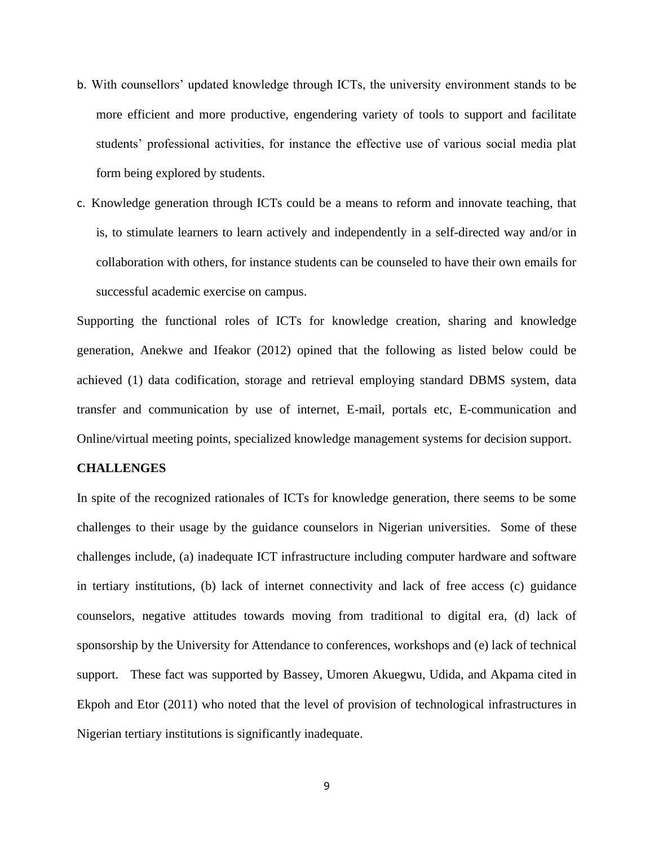- b. With counsellors' updated knowledge through ICTs, the university environment stands to be more efficient and more productive, engendering variety of tools to support and facilitate students' professional activities, for instance the effective use of various social media plat form being explored by students.
- c. Knowledge generation through ICTs could be a means to reform and innovate teaching, that is, to stimulate learners to learn actively and independently in a self-directed way and/or in collaboration with others, for instance students can be counseled to have their own emails for successful academic exercise on campus.

Supporting the functional roles of ICTs for knowledge creation, sharing and knowledge generation, Anekwe and Ifeakor (2012) opined that the following as listed below could be achieved (1) data codification, storage and retrieval employing standard DBMS system, data transfer and communication by use of internet, E-mail, portals etc, E-communication and Online/virtual meeting points, specialized knowledge management systems for decision support.

#### **CHALLENGES**

In spite of the recognized rationales of ICTs for knowledge generation, there seems to be some challenges to their usage by the guidance counselors in Nigerian universities. Some of these challenges include, (a) inadequate ICT infrastructure including computer hardware and software in tertiary institutions, (b) lack of internet connectivity and lack of free access (c) guidance counselors, negative attitudes towards moving from traditional to digital era, (d) lack of sponsorship by the University for Attendance to conferences, workshops and (e) lack of technical support. These fact was supported by Bassey, Umoren Akuegwu, Udida, and Akpama cited in Ekpoh and Etor (2011) who noted that the level of provision of technological infrastructures in Nigerian tertiary institutions is significantly inadequate.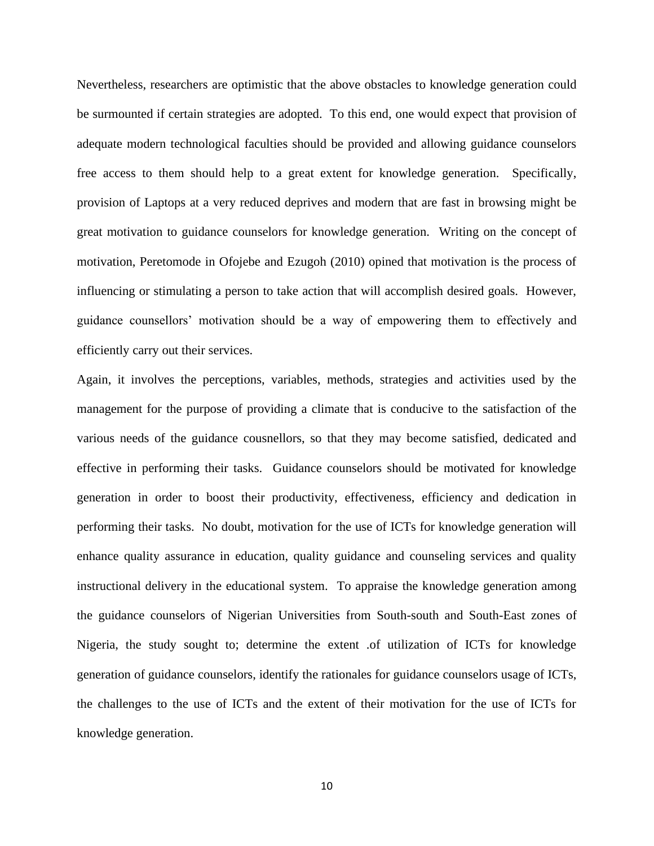Nevertheless, researchers are optimistic that the above obstacles to knowledge generation could be surmounted if certain strategies are adopted. To this end, one would expect that provision of adequate modern technological faculties should be provided and allowing guidance counselors free access to them should help to a great extent for knowledge generation. Specifically, provision of Laptops at a very reduced deprives and modern that are fast in browsing might be great motivation to guidance counselors for knowledge generation. Writing on the concept of motivation, Peretomode in Ofojebe and Ezugoh (2010) opined that motivation is the process of influencing or stimulating a person to take action that will accomplish desired goals. However, guidance counsellors' motivation should be a way of empowering them to effectively and efficiently carry out their services.

Again, it involves the perceptions, variables, methods, strategies and activities used by the management for the purpose of providing a climate that is conducive to the satisfaction of the various needs of the guidance cousnellors, so that they may become satisfied, dedicated and effective in performing their tasks. Guidance counselors should be motivated for knowledge generation in order to boost their productivity, effectiveness, efficiency and dedication in performing their tasks. No doubt, motivation for the use of ICTs for knowledge generation will enhance quality assurance in education, quality guidance and counseling services and quality instructional delivery in the educational system. To appraise the knowledge generation among the guidance counselors of Nigerian Universities from South-south and South-East zones of Nigeria, the study sought to; determine the extent .of utilization of ICTs for knowledge generation of guidance counselors, identify the rationales for guidance counselors usage of ICTs, the challenges to the use of ICTs and the extent of their motivation for the use of ICTs for knowledge generation.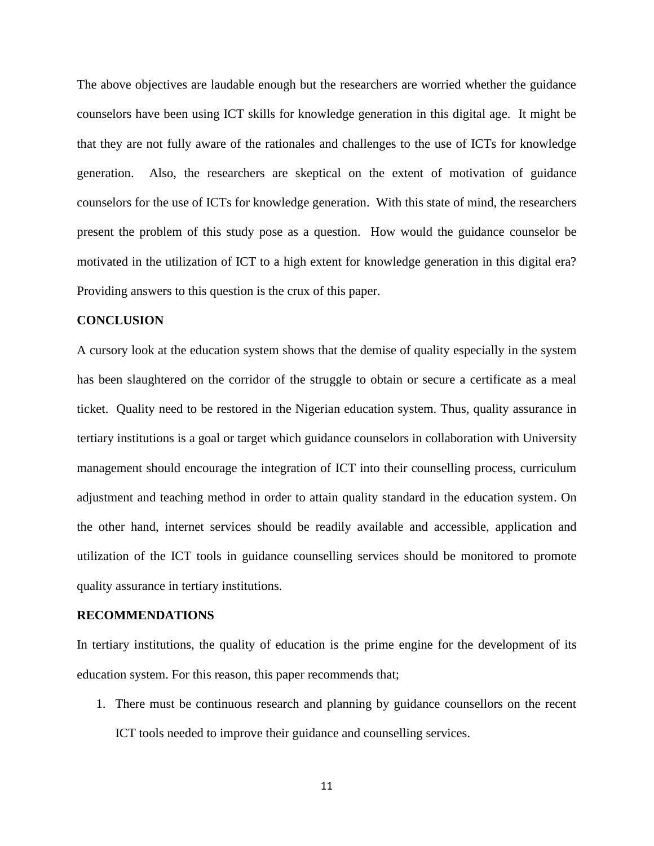The above objectives are laudable enough but the researchers are worried whether the guidance counselors have been using ICT skills for knowledge generation in this digital age. It might be that they are not fully aware of the rationales and challenges to the use of ICTs for knowledge generation. Also, the researchers are skeptical on the extent of motivation of guidance counselors for the use of ICTs for knowledge generation. With this state of mind, the researchers present the problem of this study pose as a question. How would the guidance counselor be motivated in the utilization of ICT to a high extent for knowledge generation in this digital era? Providing answers to this question is the crux of this paper.

# **CONCLUSION**

A cursory look at the education system shows that the demise of quality especially in the system has been slaughtered on the corridor of the struggle to obtain or secure a certificate as a meal ticket. Quality need to be restored in the Nigerian education system. Thus, quality assurance in tertiary institutions is a goal or target which guidance counselors in collaboration with University management should encourage the integration of ICT into their counselling process, curriculum adjustment and teaching method in order to attain quality standard in the education system. On the other hand, internet services should be readily available and accessible, application and utilization of the ICT tools in guidance counselling services should be monitored to promote quality assurance in tertiary institutions.

#### **RECOMMENDATIONS**

In tertiary institutions, the quality of education is the prime engine for the development of its education system. For this reason, this paper recommends that;

1. There must be continuous research and planning by guidance counsellors on the recent ICT tools needed to improve their guidance and counselling services.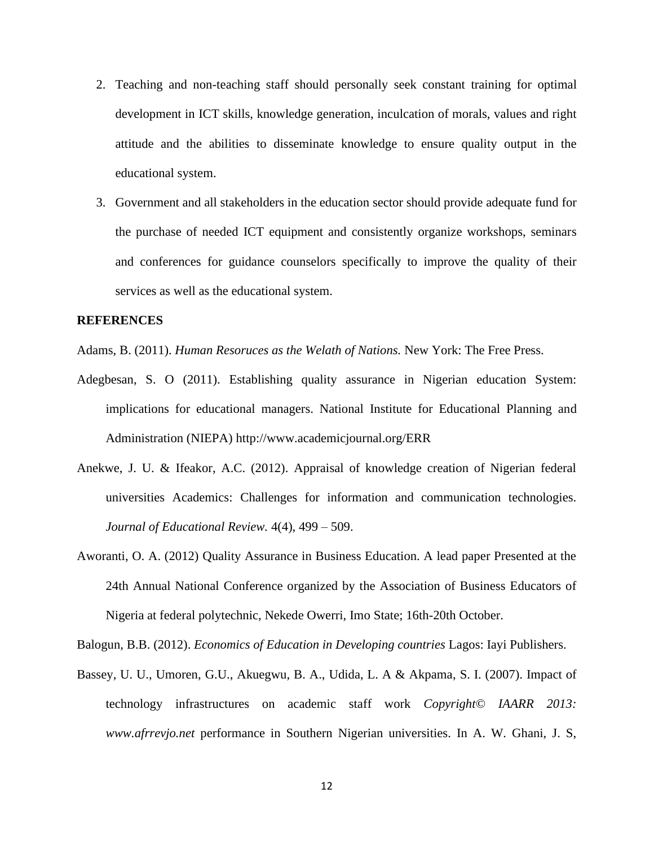- 2. Teaching and non-teaching staff should personally seek constant training for optimal development in ICT skills, knowledge generation, inculcation of morals, values and right attitude and the abilities to disseminate knowledge to ensure quality output in the educational system.
- 3. Government and all stakeholders in the education sector should provide adequate fund for the purchase of needed ICT equipment and consistently organize workshops, seminars and conferences for guidance counselors specifically to improve the quality of their services as well as the educational system.

# **REFERENCES**

- Adams, B. (2011). *Human Resoruces as the Welath of Nations.* New York: The Free Press.
- Adegbesan, S. O (2011). Establishing quality assurance in Nigerian education System: implications for educational managers. National Institute for Educational Planning and Administration (NIEPA) http://www.academicjournal.org/ERR
- Anekwe, J. U. & Ifeakor, A.C. (2012). Appraisal of knowledge creation of Nigerian federal universities Academics: Challenges for information and communication technologies. *Journal of Educational Review.* 4(4), 499 – 509.
- Aworanti, O. A. (2012) Quality Assurance in Business Education. A lead paper Presented at the 24th Annual National Conference organized by the Association of Business Educators of Nigeria at federal polytechnic, Nekede Owerri, Imo State; 16th-20th October.

Balogun, B.B. (2012). *Economics of Education in Developing countries* Lagos: Iayi Publishers.

Bassey, U. U., Umoren, G.U., Akuegwu, B. A., Udida, L. A & Akpama, S. I. (2007). Impact of technology infrastructures on academic staff work *Copyright© IAARR 2013: www.afrrevjo.net* performance in Southern Nigerian universities. In A. W. Ghani, J. S,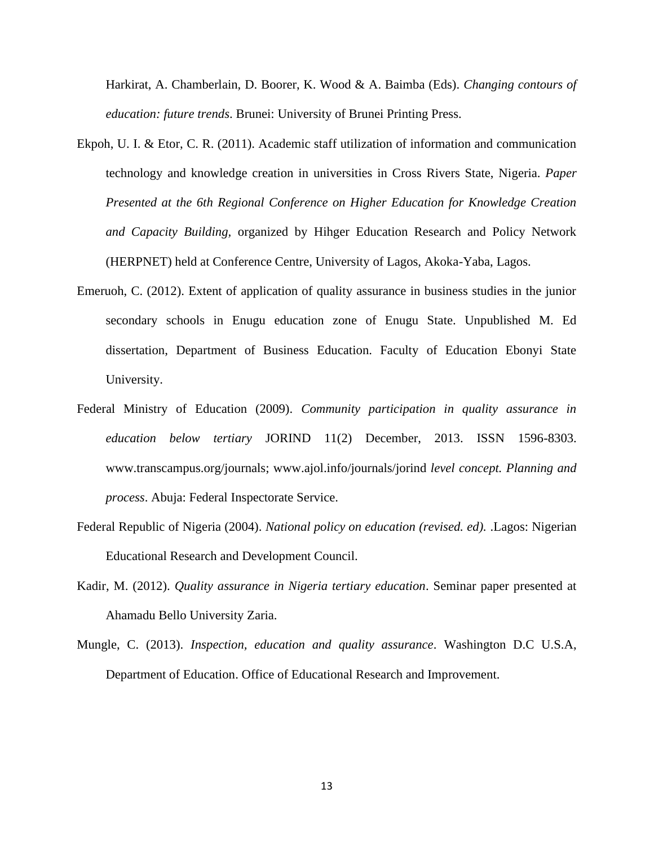Harkirat, A. Chamberlain, D. Boorer, K. Wood & A. Baimba (Eds). *Changing contours of education: future trends*. Brunei: University of Brunei Printing Press.

- Ekpoh, U. I. & Etor, C. R. (2011). Academic staff utilization of information and communication technology and knowledge creation in universities in Cross Rivers State, Nigeria. *Paper Presented at the 6th Regional Conference on Higher Education for Knowledge Creation and Capacity Building,* organized by Hihger Education Research and Policy Network (HERPNET) held at Conference Centre, University of Lagos, Akoka-Yaba, Lagos.
- Emeruoh, C. (2012). Extent of application of quality assurance in business studies in the junior secondary schools in Enugu education zone of Enugu State. Unpublished M. Ed dissertation, Department of Business Education. Faculty of Education Ebonyi State University.
- Federal Ministry of Education (2009). *Community participation in quality assurance in education below tertiary* JORIND 11(2) December, 2013. ISSN 1596-8303. www.transcampus.org/journals; www.ajol.info/journals/jorind *level concept. Planning and process*. Abuja: Federal Inspectorate Service.
- Federal Republic of Nigeria (2004). *National policy on education (revised. ed).* .Lagos: Nigerian Educational Research and Development Council.
- Kadir, M. (2012). *Quality assurance in Nigeria tertiary education*. Seminar paper presented at Ahamadu Bello University Zaria.
- Mungle, C. (2013). *Inspection, education and quality assurance*. Washington D.C U.S.A, Department of Education. Office of Educational Research and Improvement.